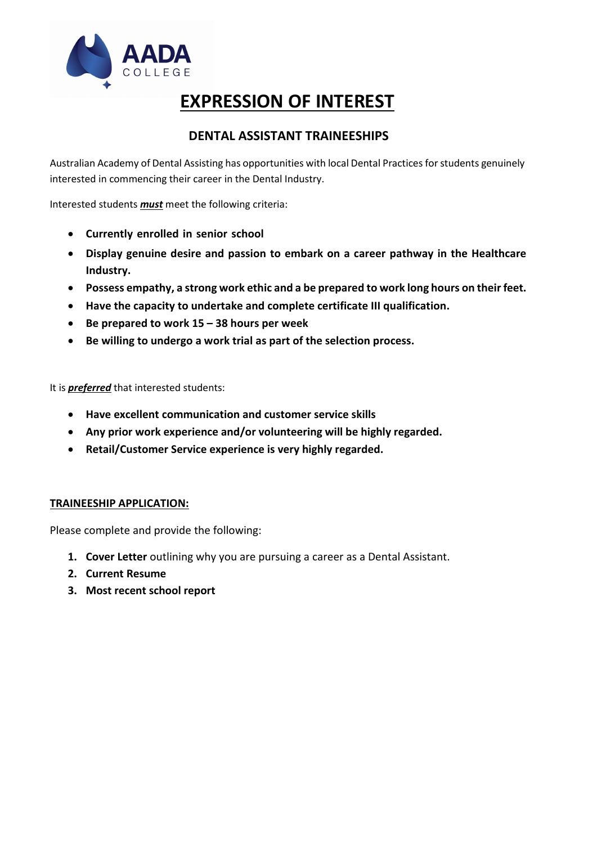

# **EXPRESSION OF INTEREST**

### **DENTAL ASSISTANT TRAINEESHIPS**

Australian Academy of Dental Assisting has opportunities with local Dental Practices for students genuinely interested in commencing their career in the Dental Industry.

Interested students *must* meet the following criteria:

- **Currently enrolled in senior school**
- **Display genuine desire and passion to embark on a career pathway in the Healthcare Industry.**
- **Possess empathy, a strong work ethic and a be prepared to work long hours on their feet.**
- **Have the capacity to undertake and complete certificate III qualification.**
- **Be prepared to work 15 38 hours per week**
- **Be willing to undergo a work trial as part of the selection process.**

It is *preferred* that interested students:

- **Have excellent communication and customer service skills**
- **Any prior work experience and/or volunteering will be highly regarded.**
- **Retail/Customer Service experience is very highly regarded.**

#### **TRAINEESHIP APPLICATION:**

Please complete and provide the following:

- **1. Cover Letter** outlining why you are pursuing a career as a Dental Assistant.
- **2. Current Resume**
- **3. Most recent school report**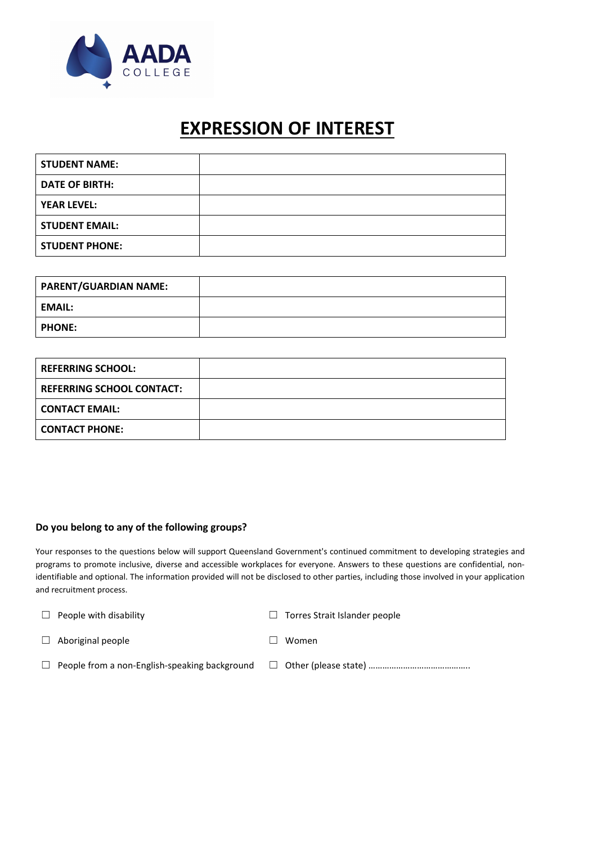

## **EXPRESSION OF INTEREST**

| <b>STUDENT NAME:</b>  |  |
|-----------------------|--|
| <b>DATE OF BIRTH:</b> |  |
| <b>YEAR LEVEL:</b>    |  |
| <b>STUDENT EMAIL:</b> |  |
| <b>STUDENT PHONE:</b> |  |

| <b>PARENT/GUARDIAN NAME:</b> |  |
|------------------------------|--|
| <b>EMAIL:</b>                |  |
| <b>PHONE:</b>                |  |

| <b>REFERRING SCHOOL:</b>         |  |
|----------------------------------|--|
| <b>REFERRING SCHOOL CONTACT:</b> |  |
| <b>CONTACT EMAIL:</b>            |  |
| <b>CONTACT PHONE:</b>            |  |

#### **Do you belong to any of the following groups?**

Your responses to the questions below will support Queensland Government's continued commitment to developing strategies and programs to promote inclusive, diverse and accessible workplaces for everyone. Answers to these questions are confidential, nonidentifiable and optional. The information provided will not be disclosed to other parties, including those involved in your application and recruitment process.

| $\perp$ | People with disability                               | $\Box$ Torres Strait Islander people |
|---------|------------------------------------------------------|--------------------------------------|
|         | $\Box$ Aboriginal people                             | Women                                |
|         | $\Box$ People from a non-English-speaking background |                                      |